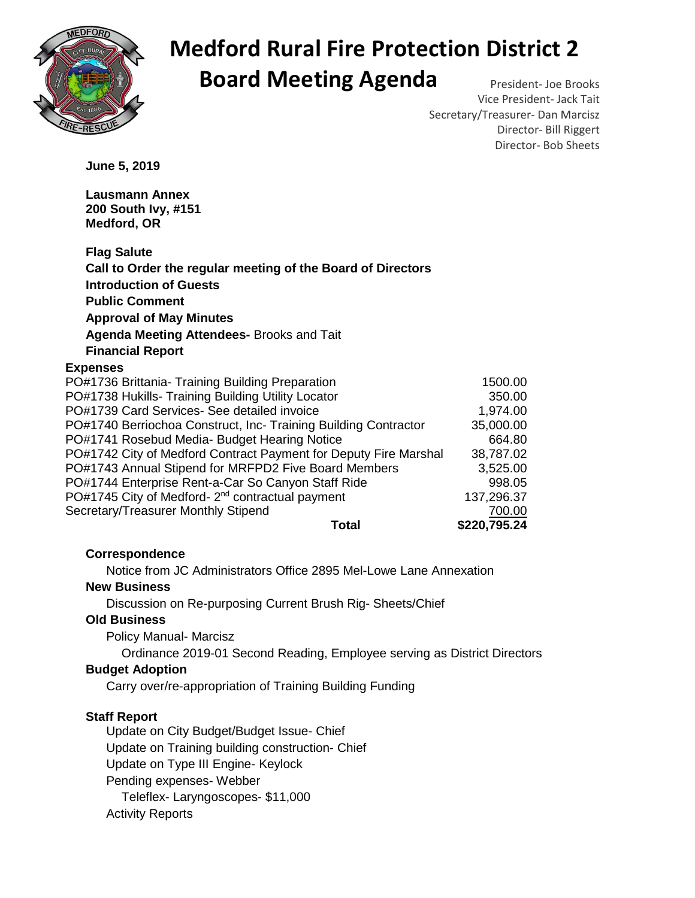

# **Medford Rural Fire Protection District 2 Board Meeting Agenda** President- Joe Brooks

Vice President- Jack Tait Secretary/Treasurer- Dan Marcisz Director- Bill Riggert Director- Bob Sheets

**June 5, 2019** 

**Lausmann Annex 200 South Ivy, #151 Medford, OR** 

| <b>Flag Salute</b>                                               |              |
|------------------------------------------------------------------|--------------|
| Call to Order the regular meeting of the Board of Directors      |              |
| <b>Introduction of Guests</b>                                    |              |
| <b>Public Comment</b>                                            |              |
| <b>Approval of May Minutes</b>                                   |              |
| Agenda Meeting Attendees- Brooks and Tait                        |              |
| <b>Financial Report</b>                                          |              |
| <b>Expenses</b>                                                  |              |
| PO#1736 Brittania- Training Building Preparation                 | 1500.00      |
| PO#1738 Hukills- Training Building Utility Locator               | 350.00       |
| PO#1739 Card Services- See detailed invoice                      | 1,974.00     |
| PO#1740 Berriochoa Construct, Inc- Training Building Contractor  | 35,000.00    |
| PO#1741 Rosebud Media- Budget Hearing Notice                     | 664.80       |
| PO#1742 City of Medford Contract Payment for Deputy Fire Marshal | 38,787.02    |
| PO#1743 Annual Stipend for MRFPD2 Five Board Members             | 3,525.00     |
| PO#1744 Enterprise Rent-a-Car So Canyon Staff Ride               | 998.05       |
| PO#1745 City of Medford- 2 <sup>nd</sup> contractual payment     | 137,296.37   |
| Secretary/Treasurer Monthly Stipend                              | 700.00       |
| Total                                                            | \$220,795.24 |

## **Correspondence**

Notice from JC Administrators Office 2895 Mel-Lowe Lane Annexation

### **New Business**

Discussion on Re-purposing Current Brush Rig- Sheets/Chief

#### **Old Business**

Policy Manual- Marcisz

Ordinance 2019-01 Second Reading, Employee serving as District Directors

#### **Budget Adoption**

Carry over/re-appropriation of Training Building Funding

## **Staff Report**

Update on City Budget/Budget Issue- Chief Update on Training building construction- Chief Update on Type III Engine- Keylock Pending expenses- Webber Teleflex- Laryngoscopes- \$11,000 Activity Reports